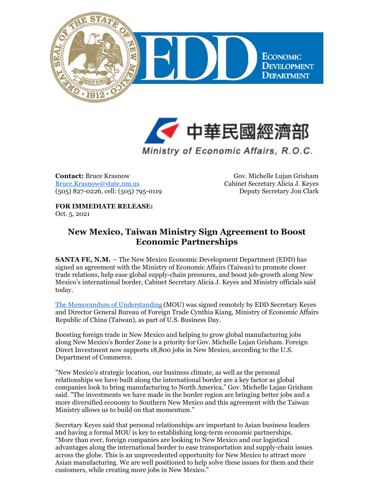



Ministry of Economic Affairs, R.O.C.

**Contact:** Bruce Krasnow [Bruce.Krasnow@state.nm.us](mailto:Bruce.Krasnow@state.nm.us) (505) 827-0226, cell: (505) 795-0119

Gov. Michelle Lujan Grisham Cabinet Secretary Alicia J. Keyes Deputy Secretary Jon Clark

## **FOR IMMEDIATE RELEASE:** Oct. 5, 2021

## **New Mexico, Taiwan Ministry Sign Agreement to Boost Economic Partnerships**

**SANTA FE, N.M.** – The New Mexico Economic Development Department (EDD) has signed an agreement with the Ministry of Economic Affairs (Taiwan) to promote closer trade relations, help ease global supply-chain pressures, and boost job-growth along New Mexico's international border, Cabinet Secretary Alicia J. Keyes and Ministry officials said today.

The Memorandum of [Understanding](https://files.constantcontact.com/c6415b07101/05147874-e882-484c-a867-f77b284a63d8.pdf) (MOU) was signed remotely by EDD Secretary Keyes and Director General Bureau of Foreign Trade Cynthia Kiang, Ministry of Economic Affairs Republic of China (Taiwan), as part of U.S. Business Day.

Boosting foreign trade in New Mexico and helping to grow global manufacturing jobs along New Mexico's Border Zone is a priority for Gov. Michelle Lujan Grisham. Foreign Direct Investment now supports 18,800 jobs in New Mexico, according to the U.S. Department of Commerce.

"New Mexico's strategic location, our business climate, as well as the personal relationships we have built along the international border are a key factor as global companies look to bring manufacturing to North America," Gov. Michelle Lujan Grisham said. "The investments we have made in the border region are bringing better jobs and a more diversified economy to Southern New Mexico and this agreement with the Taiwan Ministry allows us to build on that momentum."

Secretary Keyes said that personal relationships are important to Asian business leaders and having a formal MOU is key to establishing long-term economic partnerships. "More than ever, foreign companies are looking to New Mexico and our logistical advantages along the international border to ease transportation and supply-chain issues across the globe. This is an unprecedented opportunity for New Mexico to attract more Asian manufacturing. We are well positioned to help solve these issues for them and their customers, while creating more jobs in New Mexico."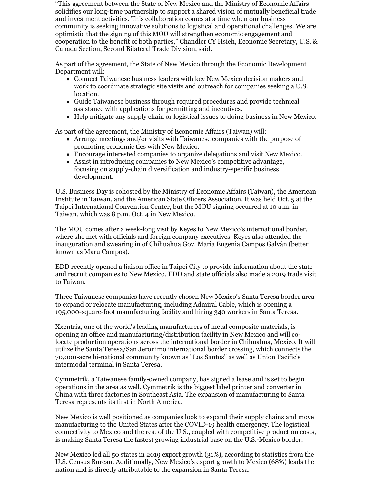"This agreement between the State of New Mexico and the Ministry of Economic Affairs solidifies our long-time partnership to support a shared vision of mutually beneficial trade and investment activities. This collaboration comes at a time when our business community is seeking innovative solutions to logistical and operational challenges. We are optimistic that the signing of this MOU will strengthen economic engagement and cooperation to the benefit of both parties," Chandler CY Hsieh, Economic Secretary, U.S. & Canada Section, Second Bilateral Trade Division, said.

As part of the agreement, the State of New Mexico through the Economic Development Department will:

- Connect Taiwanese business leaders with key New Mexico decision makers and work to coordinate strategic site visits and outreach for companies seeking a U.S. location.
- Guide Taiwanese business through required procedures and provide technical assistance with applications for permitting and incentives.
- Help mitigate any supply chain or logistical issues to doing business in New Mexico.

As part of the agreement, the Ministry of Economic Affairs (Taiwan) will:

- Arrange meetings and/or visits with Taiwanese companies with the purpose of promoting economic ties with New Mexico.
- Encourage interested companies to organize delegations and visit New Mexico.
- Assist in introducing companies to New Mexico's competitive advantage, focusing on supply-chain diversification and industry-specific business development.

U.S. Business Day is cohosted by the Ministry of Economic Affairs (Taiwan), the American Institute in Taiwan, and the American State Officers Association. It was held Oct. 5 at the Taipei International Convention Center, but the MOU signing occurred at 10 a.m. in Taiwan, which was 8 p.m. Oct. 4 in New Mexico.

The MOU comes after a week-long visit by Keyes to New Mexico's international border, where she met with officials and foreign company executives. Keyes also attended the inauguration and swearing in of Chihuahua Gov. Maria Eugenia Campos Galván (better known as Maru Campos).

EDD recently opened a liaison office in Taipei City to provide information about the state and recruit companies to New Mexico. EDD and state officials also made a 2019 trade visit to Taiwan.

Three Taiwanese companies have recently chosen New Mexico's Santa Teresa border area to expand or relocate manufacturing, including Admiral Cable, which is opening a 195,000-square-foot manufacturing facility and hiring 340 workers in Santa Teresa.

Xxentria, one of the world's leading manufacturers of metal composite materials, is opening an office and manufacturing/distribution facility in New Mexico and will colocate production operations across the international border in Chihuahua, Mexico. It will utilize the Santa Teresa/San Jeronimo international border crossing, which connects the 70,000-acre bi-national community known as "Los Santos" as well as Union Pacific's intermodal terminal in Santa Teresa.

Cymmetrik, a Taiwanese family-owned company, has signed a lease and is set to begin operations in the area as well. Cymmetrik is the biggest label printer and converter in China with three factories in Southeast Asia. The expansion of manufacturing to Santa Teresa represents its first in North America.

New Mexico is well positioned as companies look to expand their supply chains and move manufacturing to the United States after the COVID-19 health emergency. The logistical connectivity to Mexico and the rest of the U.S., coupled with competitive production costs, is making Santa Teresa the fastest growing industrial base on the U.S.-Mexico border.

New Mexico led all 50 states in 2019 export growth (31%), according to statistics from the U.S. Census Bureau. Additionally, New Mexico's export growth to Mexico (68%) leads the nation and is directly attributable to the expansion in Santa Teresa.